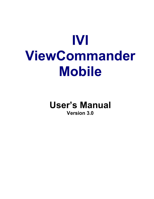# **IVI ViewCommander Mobile**

**User's Manual Version 3.0**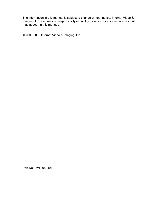The information in this manual is subject to change without notice. Internet Video & Imaging, Inc. assumes no responsibility or liability for any errors or inaccuracies that may appear in this manual.

© 2003-2005 Internet Video & Imaging, Inc.

Part No. UMP-050401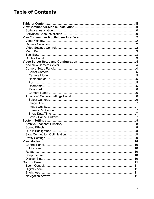# **Table of Contents**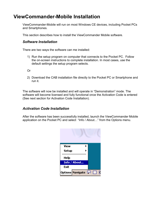# <span id="page-4-0"></span>**ViewCommander-Mobile Installation**

ViewCommander-Mobile will run on most Windows CE devices, including Pocket PCs and Smartphones.

This section describes how to install the ViewCommander Mobile software.

#### *Software Installation*

There are two ways the software can me installed:

1) Run the setup program on computer that connects to the Pocket PC. Follow the on-screen instructions to complete installation. In most cases, use the default settings the setup program selects.

Or

2) Download the CAB installation file directly to the Pocket PC or Smartphone and run it.

The software will now be installed and will operate in "Demonstration" mode. The software will become licensed and fully functional once the Activation Code is entered (See next section for Activation Code Installation).

## *Activation Code Installation*

After the software has been successfully installed, launch the ViewCommander Mobile application on the Pocket PC and select "Info / About…" from the Options menu.

| <b>View</b> |                             |  |
|-------------|-----------------------------|--|
| Setup       |                             |  |
| Help        |                             |  |
|             | Info / About                |  |
| Exit        |                             |  |
|             | Options Navigate 要 <b>圆</b> |  |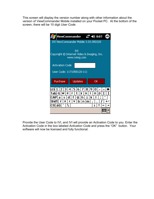This screen will display the version number along with other information about the version of ViewCommander Mobile installed on your Pocket PC. At the bottom of the screen, there will be 10 digit *User Code.* 



Provide the User Code to IVI, and IVI will provide an Activation Code to you. Enter the Activation Code in the box labeled *Activation Code* and press the "OK" button. Your software will now be licensed and fully functional.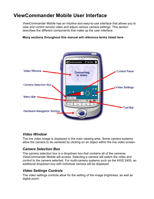# <span id="page-6-0"></span>**ViewCommander Mobile User Interface**

ViewCommander Mobile has an intuitive and easy-to-use interface that allows you to view and control remote video and adjust various camera settings. This section describes the different components that make up the user interface.

#### **Many sections throughout this manual will reference terms listed here.**



## *Video Window*

The live video image is displayed in the main viewing area. Some camera systems allow the camera to be centered by clicking on an object within the live video screen.

## *Camera Selection Box*

The camera selection box is a dropdown box that contains all of the cameras ViewCommander Mobile will access. Selecting a camera will switch the video and control to the camera selected. For multi-camera systems such as the AXIS 2400, an additional dropdown box with individual camera will be displayed.

# *Video Settings Controls*

The video settings controls allow for the setting of the image brightness, as well as digital zoom.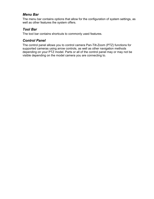## <span id="page-7-0"></span>*Menu Bar*

The menu bar contains options that allow for the configuration of system settings, as well as other features the system offers.

## *Tool Bar*

The tool bar contains shortcuts to commonly used features.

# *Control Panel*

The control panel allows you to control camera Pan-Tilt-Zoom (PTZ) functions for supported cameras using arrow controls, as well as other navigation methods depending on your PTZ model. Parts or all of the control panel may or may not be visible depending on the model camera you are connecting to.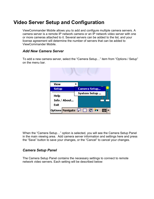# <span id="page-8-0"></span>**Video Server Setup and Configuration**

ViewCommander Mobile allows you to add and configure multiple camera servers. A camera server is a remote IP network camera or an IP network video server with one or more cameras attached to it. Several servers can be added to the list, and your license agreement will determine the number of servers that can be added to ViewCommander Mobile.

#### *Add New Camera Server*

To add a new camera server, select the "Camera Setup…" item from "Options / Setup" on the menu bar.

| Yiew                         |                                        |
|------------------------------|----------------------------------------|
| <b>Setup</b>                 | <b>Camera Setup</b>                    |
|                              | System Setup                           |
| Help<br>Info / About<br>Exit |                                        |
|                              | Options Navigate <b>22 2 C</b> is<br>¥ |

When the "Camera Setup…" option is selected, you will see the Camera Setup Panel in the main viewing area. Add camera server information and settings here and press the "Save" button to save your changes, or the "Cancel" to cancel your changes.

#### *Camera Setup Panel*

The Camera Setup Panel contains the necessary settings to connect to remote network video servers. Each setting will be described below: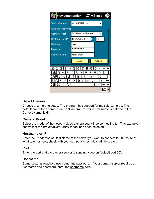<span id="page-9-0"></span>

| ViewCommander            | # √€8:12 ®                |  |  |  |
|--------------------------|---------------------------|--|--|--|
| Select Camera            | 01) Camera - 1            |  |  |  |
| <b>Camera Properties</b> |                           |  |  |  |
| CameraModel              | IVI-WebCamServer          |  |  |  |
| Hostname or IP           | Port $80$<br>10.252.18.20 |  |  |  |
| Usemame                  | user                      |  |  |  |
| Password                 | *********                 |  |  |  |
| CameraName               | Front Door                |  |  |  |
|                          | Cancel<br>Save            |  |  |  |
| 4<br>123  1<br>13        | 5<br>8<br>q<br>6<br>0     |  |  |  |
| ١w<br>Tabl<br>е<br>a     | u<br>r<br>Ω<br>n          |  |  |  |
| CAPI<br>S<br>a<br>d      | f<br>k<br>a<br>n<br>1     |  |  |  |
| Shift<br>x<br>z<br>c     | v<br>n                    |  |  |  |
| CtI∣áü                   |                           |  |  |  |
|                          |                           |  |  |  |

#### **Select Camera**

Choose a camera to setup. The program has support for multiple cameras. The default name for a camera will be "Camera –n" until a new name is entered in the CameraName field.

#### **Camera Model**

Select the model of the network video camera you will be connecting to. This example shows that the *IVI-WebCamServer* model has been selected.

#### **Hostname or IP**

Enter the IP address or Host Name of the server you want to connect to. If unsure of what to enter here, check with your company's technical administrator.

#### **Port**

Enter the port that the camera server is sending video on (default port 80).

#### **Username**

Some systems require a username and password. If your camera server requires a username and password, enter the username here.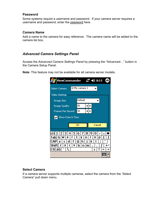#### <span id="page-10-0"></span>**Password**

Some systems require a username and password. If your camera server requires a username and password, enter the password here.

#### **Camera Name**

Add a name to the camera for easy reference. The camera name will be added to the camera list box.

#### *Advanced Camera Settings Panel*

Access the *Advanced Camera Settings Panel* by pressing the "Advanced…" button in the Camera Setup Panel.

**Note**: This feature may not be available for all camera server models.

| ViewCommander                                  |                | m      | бk)<br>$\blacktriangleleft 6:15$ |
|------------------------------------------------|----------------|--------|----------------------------------|
| Select Camera                                  | 1) My camera 1 |        |                                  |
| <b>Video Settings</b>                          |                |        |                                  |
| Image Size                                     | Default        |        |                                  |
| Image Quality                                  | 50             |        |                                  |
| <b>Frames Per Second</b>                       | 10             |        |                                  |
| Show Date & Time                               |                |        |                                  |
|                                                | ОK             | Cancel |                                  |
| 123  1<br>15<br>14.<br>12<br>E.                | 6              | н<br>П |                                  |
| Tabl<br>١w<br>е<br>r<br>q<br>f                 | u<br>t<br>v    | o      | n                                |
| CAPI a<br>d<br>s<br>x<br>v<br>Shiftl<br>z<br>c | g<br>n         | ĸ      |                                  |
| áü                                             |                |        |                                  |
|                                                |                |        |                                  |

#### **Select Camera**

If a camera server supports multiple cameras, select the camera from the "Select Camera" pull down menu.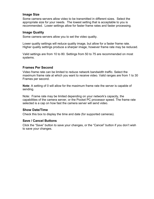#### <span id="page-11-0"></span>**Image Size**

Some camera servers allow video to be transmitted in different sizes. Select the appropriate size for your needs. The lowest setting that is acceptable to you is recommended. Lower settings allow for faster frame rates and faster processing.

#### **Image Quality**

Some camera servers allow you to set the video quality.

Lower quality settings will reduce quality image, but allow for a faster frame rate. Higher quality settings produce a sharper image, however frame rate may be reduced.

Valid settings are from 10 to 80. Settings from 50 to 75 are recommended on most systems.

#### **Frames Per Second**

Video frame rate can be limited to reduce network bandwidth traffic. Select the maximum frame rate at which you want to receive video. Valid ranges are from 1 to 30 Frames per second.

**Note**: A setting of 0 will allow for the maximum frame rate the server is capable of sending.

Note: Frame rate may be limited depending on your network's capacity, the capabilities of the camera server, or the Pocket PC processor speed. The frame rate selected is a cap on how fast the camera server will send video.

#### **Show Date/Time**

Check this box to display the time and date (for supported cameras).

#### **Save / Cancel Buttons**

Click the "Save" button to save your changes, or the "Cancel" button if you don't wish to save your changes.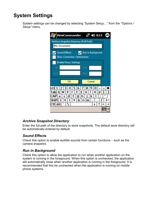# <span id="page-12-0"></span>**System Settings**

System settings can be changed by selecting "System Setup…" from the *"Options / Setup"* menu.



# *Archive Snapshot Directory*

Enter the full path of the directory to store snapshots. The default save directory will be automatically entered by default.

# *Sound Effects*

Check this option to enable audible sounds from certain functions – such as the camera snapshot.

# *Run in Background*

Check this option to allow the application to run when another application on the system is running in the foreground. When this option is unchecked, the application will automatically close when another application is running in the foreground. It is recommended that this be unchecked when the application is running on mobile phone systems.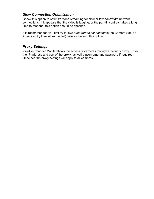## <span id="page-13-0"></span>*Slow Connection Optimization*

Check this option to optimize video streaming for slow or low-bandwidth network connections. If it appears that the video is lagging, or the pan-tilt controls takes a long time to respond, this option should be checked.

It is recommended you first try to lower *the frames per second* in the Camera Setup's *Advanced Options* (if supported) before checking this option.

# *Proxy Settings*

ViewCommander Mobile allows the access of cameras through a network proxy. Enter the IP address and port of the proxy, as well a username and password if required. Once set, the proxy settings will apply to all cameras.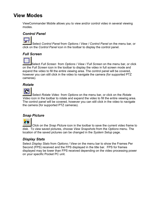# <span id="page-14-0"></span>**View Modes**

ViewCommander Mobile allows you to view and/or control video in several viewing modes.

# *Control Panel*



Select *Control Panel* from *Options / View / Control Panel* on the menu bar*,* or click on the *Control Panel* icon in the toolbar to display the control panel.

# *Full Screen*



Select *Full Screen* from *Options / View / Full Screen* on the menu bar, or click on the *Full Screen* icon in the toolbar to display the video in full screen mode and expand the video to fill the entire viewing area. The control panel will be covered, however you can still click in the video to navigate the camera (for supported PTZ cameras).

# *Rotate*



# *Snap Picture*



Click on the *Snap Picture* icon in the toolbar to save the current video frame to disk. To view saved pictures, choose *View Snapshots* from the *Options* menu. The location of the saved pictures can be changed in the *System Setup* page.

# *Display Stats*

Select *Display Stats* from *Options / View* on the menu bar to show the Frames Per Second (FPS) received and the FPS displayed in the title bar. FPS for frames displayed may be lower than FPS received depending on the video processing power on your specific Pocket PC unit.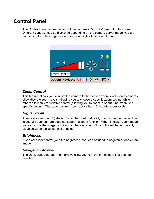# <span id="page-15-0"></span>**Control Panel**

The Control Panel is used to control the camera's Pan Tilt Zoom (PTZ) functions. Different controls may be displayed depending on the camera server model you are connecting to. The image below shows one style of the control panel.



# *Zoom Control*

This feature allows you to zoom the camera to the desired zoom level. Some cameras allow discrete zoom levels, allowing you to choose a specific zoom setting, while others allow only for relative control (allowing you to zoom in or out – not zoom to a specific setting). The zoom control shown above has 10 discrete zoom levels.

# *Digital Zoom*

A vertical slider control (labeled **Z**) can be used to digitally zoom in on the image. This is useful if your camera does not support a zoom function. When in digital zoom mode you can move the image by clicking in the live video. PTZ control will be temporarily disabled when digital zoom is enabled.

# *Brightness*

A vertical slider control (with the brightness icon) can be used to brighten or darken an image.

## *Navigation Arrows*

The Up, Down, Left, and Right arrows allow you to move the camera in a desired direction.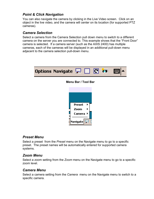## <span id="page-16-0"></span>*Point & Click Navigation*

You can also navigate the camera by clicking in the Live Video screen. Click on an object in the live video, and the camera will center on its location (for supported PTZ cameras).

#### *Camera Selection*

Select a camera from the Camera Selection pull down menu to switch to a different camera on the server you are connected to. This example shows that the "Front Door" camera is selected. If a camera server (such as the AXIS 2400) has multiple cameras, each of the cameras will be displayed in an additional pull-down menu adjacent to the camera selection pull-down menu.

| Options Navigate <b>4 0</b> |                     |  | ान | <u>pin</u> |
|-----------------------------|---------------------|--|----|------------|
|                             | Menu Bar / Tool Bar |  |    |            |
|                             |                     |  |    |            |
|                             |                     |  |    |            |
|                             | Preset ▶<br>Zoom    |  |    |            |
|                             | Camera ▶            |  |    |            |
|                             | Navigate            |  |    |            |

#### *Preset Menu*

Select a preset from the *Preset* menu on the Navigate menu to go to a specific preset. The preset names will be automatically entered for supported camera systems.

## *Zoom Menu*

Select a zoom setting from the *Zoom* menu on the Navigate menu to go to a specific zoom level.

## *Camera Menu*

Select a camera setting from the *Camera* menu on the Navigate menu to switch to a specific camera.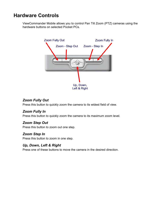# <span id="page-17-0"></span>**Hardware Controls**

ViewCommander Mobile allows you to control Pan Tilt Zoom (PTZ) cameras using the hardware buttons on selected Pocket PCs.



# *Zoom Fully Out*

Press this button to quickly zoom the camera to its widest field of view.

# *Zoom Fully In*

Press this button to quickly zoom the camera to its maximum zoom level.

# *Zoom Step Out*

Press this button to zoom out one step.

# *Zoom Step In*

Press this button to zoom in one step.

# *Up, Down, Left & Right*

Press one of these buttons to move the camera in the desired direction.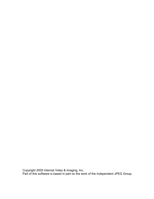Copyright 2005 Internet Video & Imaging, Inc. Part of this software is based in part on the work of the Independent JPEG Group.